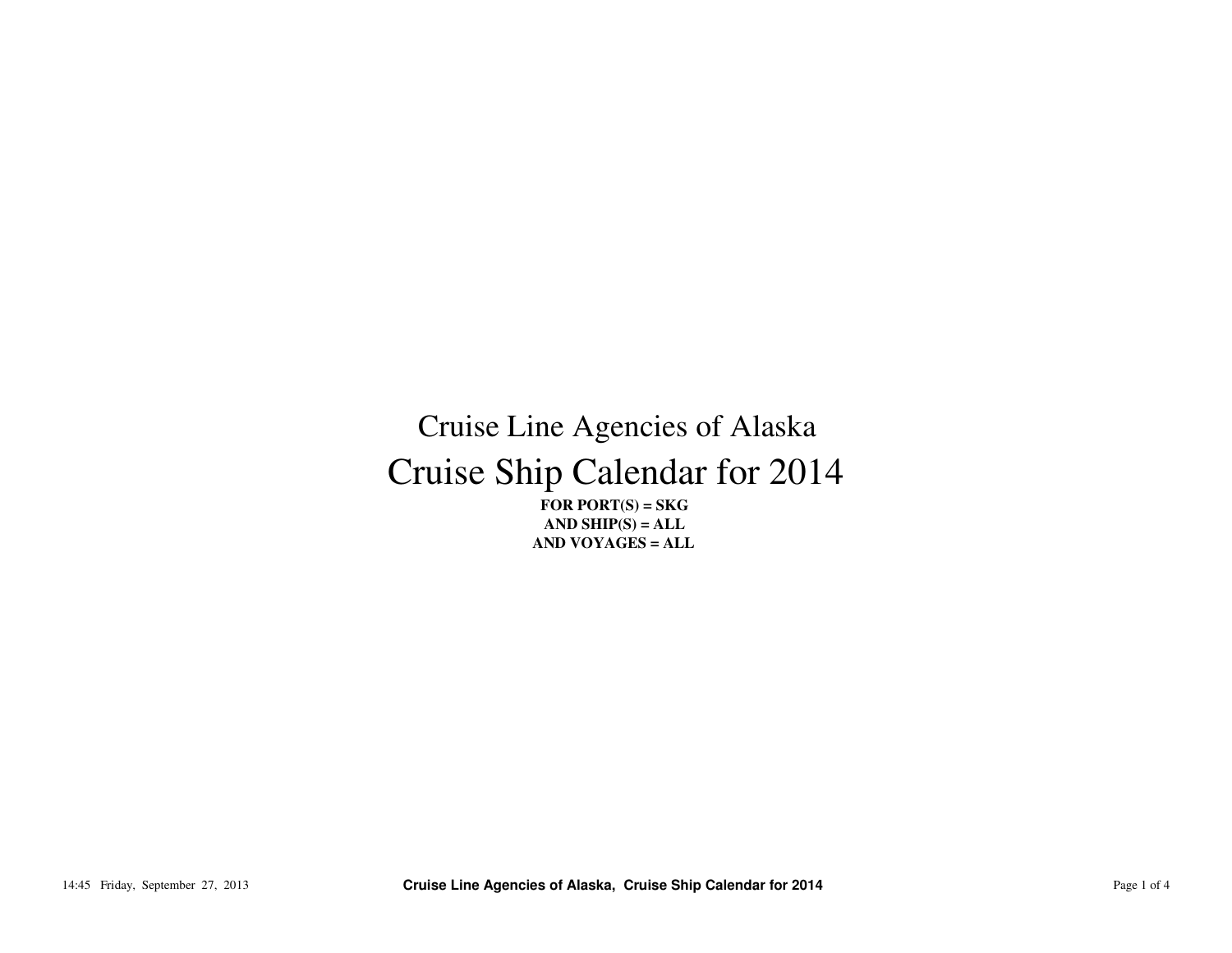## Cruise Ship Calendar for 2014Cruise Line Agencies of Alaska

**FOR PORT(S) = SKG AND SHIP(S) = ALLAND VOYAGES = ALL**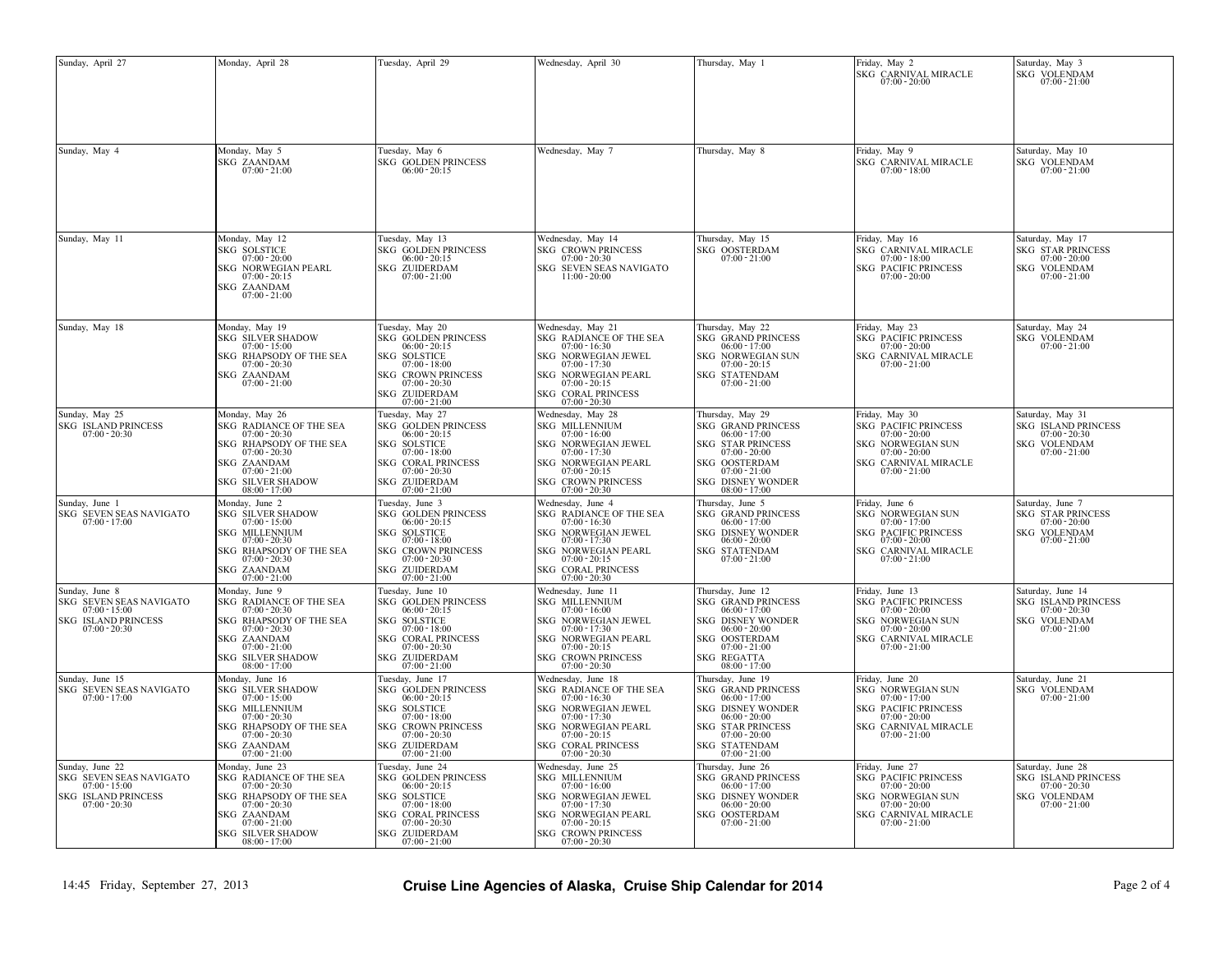| Sunday, April 27                                                                                               | Monday, April 28                                                                                                                                                                                               | Tuesday, April 29                                                                                                                                                                               | Wednesday, April 30                                                                                                                                                                                                | Thursday, May 1                                                                                                                                                                                            | Friday, May 2<br>SKG CARNIVAL MIRACLE<br>$07:00 - 20:00$                                                                                                    | Saturday, May 3<br>SKG VOLENDAM<br>$07:00 - 21:00$                                                           |
|----------------------------------------------------------------------------------------------------------------|----------------------------------------------------------------------------------------------------------------------------------------------------------------------------------------------------------------|-------------------------------------------------------------------------------------------------------------------------------------------------------------------------------------------------|--------------------------------------------------------------------------------------------------------------------------------------------------------------------------------------------------------------------|------------------------------------------------------------------------------------------------------------------------------------------------------------------------------------------------------------|-------------------------------------------------------------------------------------------------------------------------------------------------------------|--------------------------------------------------------------------------------------------------------------|
| Sunday, May 4                                                                                                  | Monday, May 5<br><b>SKG ZAANDAM</b><br>$07:00 - 21:00$                                                                                                                                                         | Tuesday, May 6<br>SKG GOLDEN PRINCESS<br>$06:00 - 20:15$                                                                                                                                        | Wednesday, May 7                                                                                                                                                                                                   | Thursday, May 8                                                                                                                                                                                            | Friday, May 9<br>SKG CARNIVAL MIRACLE<br>$07:00 - 18:00$                                                                                                    | Saturday, May 10<br>SKG VOLENDAM<br>$07:00 - 21:00$                                                          |
| Sunday, May 11                                                                                                 | Monday, May 12<br><b>SKG SOLSTICE</b><br>$07:00 - 20:00$<br>SKG NORWEGIAN PEARL<br>$07:00 - 20:15$<br>SKG ZAANDAM<br>$07:00 - 21:00$                                                                           | Tuesday, May 13<br><b>SKG GOLDEN PRINCESS</b><br>$06:00 - 20:15$<br>SKG ZUIDERDAM<br>$07:00 - 21:00$                                                                                            | Wednesday, May 14<br><b>SKG CROWN PRINCESS</b><br>$07:00 - 20:30$<br>SKG SEVEN SEAS NAVIGATO<br>$11:00 - 20:00$                                                                                                    | Thursday, May 15<br>SKG OOSTERDAM<br>$07:00 - 21:00$                                                                                                                                                       | Friday, May 16<br>SKG CARNIVAL MIRACLE<br>$07:00 - 18:00$<br><b>SKG PACIFIC PRINCESS</b><br>$07:00 - 20:00$                                                 | Saturday, May 17<br><b>SKG STAR PRINCESS</b><br>$07:00 - 20:00$<br><b>SKG VOLENDAM</b><br>$07:00 - 21:00$    |
| Sunday, May 18                                                                                                 | Monday, May 19<br><b>SKG SILVER SHADOW</b><br>$07:00 - 15:00$<br>SKG RHAPSODY OF THE SEA $07{:}00 \cdot 20{:}30$<br>SKG ZAANDAM<br>07:00 - 21:00                                                               | Tuesday, May 20<br>SKG GOLDEN PRINCESS<br>$06:00 - 20:15$<br>SKG SOLSTICE<br>$07:00 - 18:00$<br>SKG CROWN PRINCESS<br>07:00 - 20:30<br>SKG ZUIDERDAM<br>07:00-21:00                             | Wednesday, May 21<br>SKG RADIANCE OF THE SEA $07:00$ - $16:30$<br>SKG NORWEGIAN JEWEL<br>$07:00 - 17:30$<br>SKG NORWEGIAN PEARL<br>$07:00 - 20:15$<br>SKG CORAL PRINCESS $07:00$ - $20:30$                         | Thursday, May 22<br><b>SKG GRAND PRINCESS</b><br>$06:00 - 17:00$<br>SKG NORWEGIAN SUN<br>$07:00 - 20:15$<br>SKG STATENDAM<br>$07:00 - 21:00$                                                               | Friday, May 23<br>SKG PACIFIC PRINCESS<br>$07:00 - 20:00$<br>SKG CARNIVAL MIRACLE 07:00 - 21:00                                                             | Saturday, May 24<br>SKG VOLENDAM<br>$07:00 - 21:00$                                                          |
| Sunday, May 25<br><b>SKG ISLAND PRINCESS</b><br>$07:00 - 20:30$                                                | Monday, May 26<br>SKG RADIANCE OF THE SEA<br>$07:00 - 20:30$<br>SKG RHAPSODY OF THE SEA $07\mathpunct:00$ - $20\mathpunct:30$<br>SKG ZAANDAM<br>$07:00 - 21:00$<br><b>SKG SILVER SHADOW</b><br>$08:00 - 17:00$ | Tuesday, May 27<br><b>SKG GOLDEN PRINCESS</b><br>$06:00 - 20:15$<br>SKG SOLSTICE<br>$07:00 - 18:00$<br>SKG CORAL PRINCESS<br>$07:00 - 20:30$<br>SKG ZUIDERDAM<br>07:00 - 21:00                  | Wednesday, May 28<br><b>SKG MILLENNIUM</b><br>$07:00 - 16:00$<br>SKG NORWEGIAN JEWEL<br>$07:00 - 17:30$<br>SKG NORWEGIAN PEARL<br>$07:00 - 20:15$<br><b>SKG CROWN PRINCESS</b><br>$07:00 - 20:30$                  | Thursday, May 29<br><b>SKG GRAND PRINCESS</b><br>$06:00 - 17:00$<br><b>SKG STAR PRINCESS</b><br>$07:00 - 20:00$<br>SKG OOSTERDAM<br>$07:00 - 21:00$<br><b>SKG DISNEY WONDER</b><br>$08:00 - 17:00$         | Friday, May 30<br>SKG PACIFIC PRINCESS<br>07:00 - 20:00<br>SKG NORWEGIAN SUN<br>$07:00 - 20:00$<br>SKG CARNIVAL MIRACLE<br>$07:00 - 21:00$                  | Saturday, May 31<br><b>SKG ISLAND PRINCESS</b><br>$07.00 - 20.30$<br><b>SKG VOLENDAM</b><br>$07:00 - 21:00$  |
| Sunday, June 1<br>SKG SEVEN SEAS NAVIGATO<br>$07:00 - 17:00$                                                   | Monday, June 2<br><b>SKG SILVER SHADOW</b><br>$07:00 - 15:00$<br>SKG MILLENNIUM<br>$07:00 - 20:30$<br>SKG RHAPSODY OF THE SEA<br>$07:00 - 20:30$<br>SKG ZAANDAM<br>$07:00 - 21:00$                             | Tuesday, June 3<br><b>SKG GOLDEN PRINCESS</b><br>$06:00 - 20:15$<br><b>SOLSTICE</b><br>SKG<br>$07:00 - 18:00$<br><b>SKG CROWN PRINCESS</b><br>$07:00 - 20:30$<br>SKG ZUIDERDAM<br>07:00 - 21:00 | Wednesday, June 4<br>SKG RADIANCE OF THE SEA<br>$07:00 - 16:30$<br>SKG NORWEGIAN JEWEL<br>$07:00 - 17:30$<br>SKG NORWEGIAN PEARL<br>$07:00 - 20:15$<br>SKG CORAL PRINCESS<br>$07:00 - 20:30$                       | Thursday, June 5<br><b>SKG GRAND PRINCESS</b><br>$06:00 - 17:00$<br><b>SKG DISNEY WONDER</b><br>$06:00 - 20:00$<br>SKG STATENDAM<br>$07:00 - 21:00$                                                        | Friday, June 6<br>SKG NORWEGIAN SUN<br>$07:00 - 17:00$<br><b>SKG PACIFIC PRINCESS</b><br>$07:00 - 20:00$<br>SKG CARNIVAL MIRACLE<br>$07:00 - 21:00$         | Saturday, June 7<br><b>SKG STAR PRINCESS</b><br>$07:00 - 20:00$<br>SKG VOLENDAM<br>$07:00 - 21:00$           |
| Sunday, June 8<br>SKG SEVEN SEAS NAVIGATO<br>$07:00 - 15:00$<br><b>SKG ISLAND PRINCESS</b><br>$07:00 - 20:30$  | Monday, June 9<br>SKG RADIANCE OF THE SEA<br>$07:00 - 20:30$<br>SKG RHAPSODY OF THE SEA<br>$07:00 - 20:30$<br>SKG ZAANDAM<br>$07:00 - 21:00$<br><b>SKG SILVER SHADOW</b><br>$08:00 - 17:00$                    | Tuesday, June 10<br>SKG GOLDEN PRINCESS<br>$06:00 - 20:15$<br><b>SOLSTICE</b><br>SKG<br>$07:00 - 18:00$<br>SKG CORAL PRINCESS<br>$07:00 - 20:30$<br>SKG ZUIDERDAM<br>$07:00 - 21:00$            | Wednesday, June 11<br><b>SKG MILLENNIUM</b><br>$07:00 - 16:00$<br>SKG NORWEGIAN JEWEL<br>$07:00 - 17:30$<br>SKG NORWEGIAN PEARL<br>$07:00 - 20:15$<br><b>SKG CROWN PRINCESS</b><br>$07:00 - 20:30$                 | Thursday, June 12<br><b>SKG GRAND PRINCESS</b><br>$06:00 - 17:00$<br><b>SKG DISNEY WONDER</b><br>$06:00 - 20:00$<br>SKG OOSTERDAM<br>$07:00 - 21:00$<br><b>SKG REGATTA</b><br>$08:00 - 17:00$              | Friday, June 13<br><b>SKG PACIFIC PRINCESS</b><br>$07:00 - 20:00$<br><b>SKG NORWEGIAN SUN</b><br>$07:00 - 20:00$<br>SKG CARNIVAL MIRACLE<br>$07:00 - 21:00$ | Saturday, June 14<br><b>SKG ISLAND PRINCESS</b><br>$07:00 - 20:30$<br><b>SKG VOLENDAM</b><br>$07:00 - 21:00$ |
| Sunday, June 15<br>SKG SEVEN SEAS NAVIGATO<br>$07:00 - 17:00$                                                  | Monday, June 16<br><b>SKG SILVER SHADOW</b><br>$07:00 - 15:00$<br><b>SKG MILLENNIUM</b><br>$07:00 - 20:30$<br>SKG RHAPSODY OF THE SEA<br>$07:00 - 20:30$<br>SKG ZAANDAM<br>$07:00 - 21:00$                     | Tuesday, June 17<br>SKG GOLDEN PRINCESS<br>$06:00 - 20:15$<br>SKG SOLSTICE<br>$07:00 - 18:00$<br>SKG CROWN PRINCESS<br>$07:00 - 20:30$<br>SKG ZUIDERDAM<br>$07:00 - 21:00$                      | Wednesday, June 18<br>SKG RADIANCE OF THE SEA<br>$07:00 - 16:30$<br><b>SKG NORWEGIAN JEWEL</b><br>$07:00 - 17:30$<br><b>SKG NORWEGIAN PEARL</b><br>$07:00 - 20:15$<br><b>SKG CORAL PRINCESS</b><br>$07:00 - 20:30$ | Thursday, June 19<br><b>SKG GRAND PRINCESS</b><br>$06:00 - 17:00$<br><b>SKG DISNEY WONDER</b><br>$06:00 - 20:00$<br><b>SKG STAR PRINCESS</b><br>$07:00 - 20:00$<br><b>SKG STATENDAM</b><br>$07:00 - 21:00$ | Friday, June 20<br>SKG NORWEGIAN SUN<br>$07:00 - 17:00$<br><b>SKG PACIFIC PRINCESS</b><br>$07:00 - 20:00$<br>SKG CARNIVAL MIRACLE<br>$07:00 - 21:00$        | Saturday, June 21<br>SKG VOLENDAM<br>$07:00 - 21:00$                                                         |
| Sunday, June 22<br>SKG SEVEN SEAS NAVIGATO<br>$07:00 - 15:00$<br><b>SKG ISLAND PRINCESS</b><br>$07:00 - 20:30$ | Monday, June 23<br>SKG RADIANCE OF THE SEA<br>$07:00 - 20:30$<br>SKG RHAPSODY OF THE SEA<br>$07:00 - 20:30$<br>SKG ZAANDAM<br>$07:00 - 21:00$<br><b>SKG SILVER SHADOW</b><br>$08:00 - 17:00$                   | Tuesday, June 24<br>SKG GOLDEN PRINCESS<br>$06:00 - 20:15$<br><b>SOLSTICE</b><br>SKG<br>$07:00 - 18:00$<br>SKG CORAL PRINCESS<br>$07:00 - 20:30$<br><b>SKG ZUIDERDAM</b><br>$07:00 - 21:00$     | Wednesday, June 25<br><b>SKG MILLENNIUM</b><br>$07:00 - 16:00$<br>SKG NORWEGIAN JEWEL<br>$07:00 - 17:30$<br>SKG NORWEGIAN PEARL<br>$07:00 - 20:15$<br><b>SKG CROWN PRINCESS</b><br>$07:00 - 20:30$                 | Thursday, June 26<br><b>SKG GRAND PRINCESS</b><br>$06:00 - 17:00$<br><b>DISNEY WONDER</b><br>SKG<br>$06:00 - 20:00$<br>SKG OOSTERDAM<br>$07:00 - 21:00$                                                    | Friday, June 27<br><b>SKG PACIFIC PRINCESS</b><br>$07:00 - 20:00$<br>SKG NORWEGIAN SUN<br>$07:00 - 20:00$<br>SKG CARNIVAL MIRACLE<br>$07:00 - 21:00$        | Saturday, June 28<br>SKG ISLAND PRINCESS<br>$07:00 - 20:30$<br><b>SKG VOLENDAM</b><br>$07:00 - 21:00$        |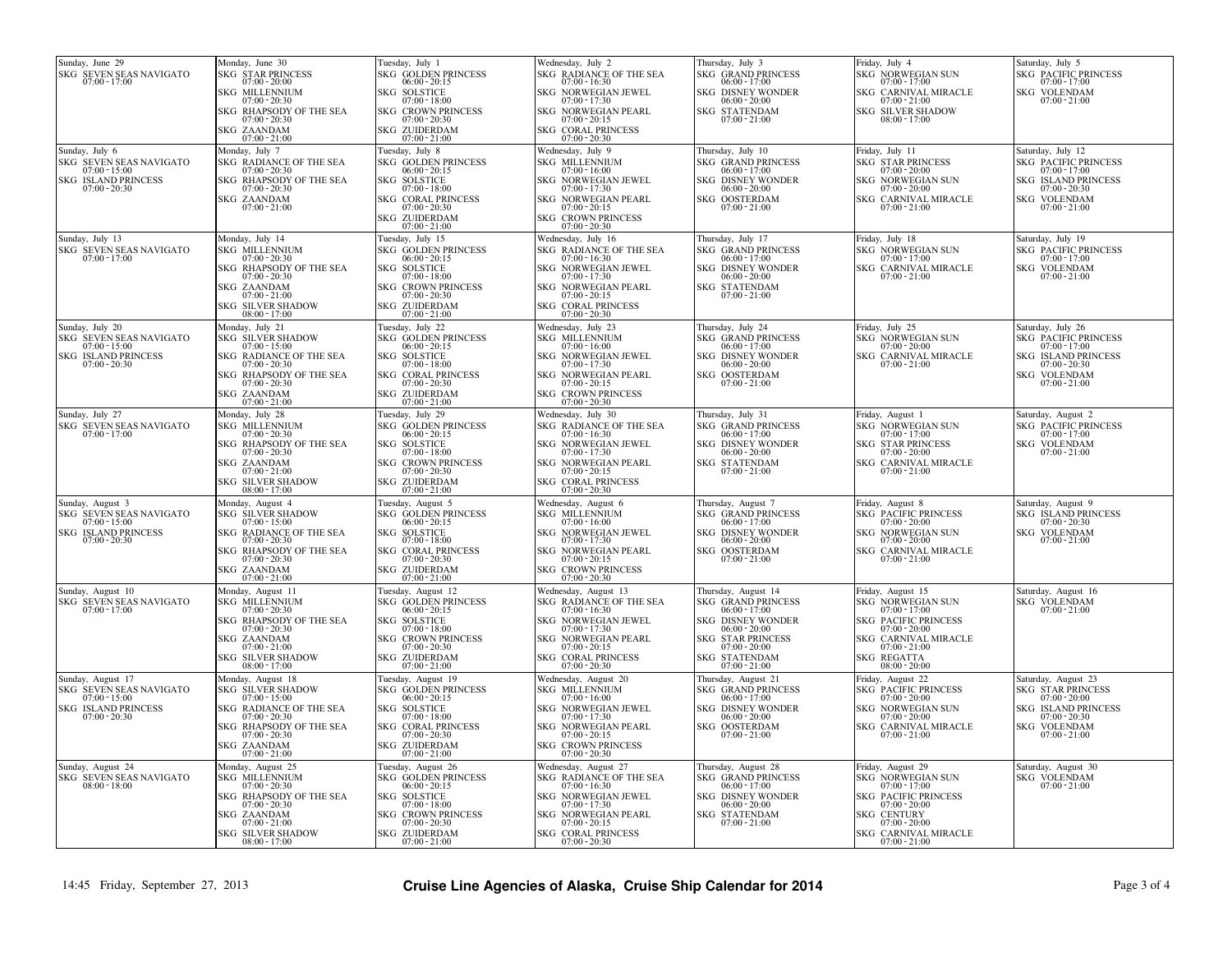| Sunday, June 29<br>SKG SEVEN SEAS NAVIGATO<br>$07:00 - 17:00$                                                    | Monday, June 30<br><b>SKG STAR PRINCESS</b><br>$07:00 - 20:00$<br><b>SKG MILLENNIUM</b><br>$07:00 - 20:30$<br>SKG RHAPSODY OF THE SEA<br>$07:00 - 20:30$<br>SKG ZAANDAM<br>$07:00 - 21:00$                     | Tuesday, July 1<br><b>SKG GOLDEN PRINCESS</b><br>$06:00 - 20:15$<br><b>SKG SOLSTICE</b><br>$07:00 - 18:00$<br><b>SKG CROWN PRINCESS</b><br>$07:00 - 20:30$<br>SKG ZUIDERDAM<br>$07:00 - 21:00$           | Wednesday, July 2<br><b>SKG RADIANCE OF THE SEA</b><br>$07:00 - 16:30$<br>SKG NORWEGIAN JEWEL<br>$07:00 - 17:30$<br><b>SKG NORWEGIAN PEARL</b><br>$07:00 - 20:15$<br>SKG CORAL PRINCESS<br>07:00 - 20:30          | Thursday, July 3<br><b>SKG GRAND PRINCESS</b><br>$06:00 - 17:00$<br><b>SKG DISNEY WONDER</b><br>$06:00 - 20:00$<br><b>SKG STATENDAM</b><br>$07:00 - 21:00$                                          | Friday, July 4<br>SKG NORWEGIAN SUN<br>$07:00 - 17:00$<br>SKG CARNIVAL MIRACLE<br>$07:00 - 21:00$<br>SKG SILVER SHADOW<br>$08:00 - 17:00$                                                | Saturday, July 5<br><b>SKG PACIFIC PRINCESS</b><br>$07:00 - 17:00$<br><b>SKG VOLENDAM</b><br>$07:00 - 21:00$                                                   |
|------------------------------------------------------------------------------------------------------------------|----------------------------------------------------------------------------------------------------------------------------------------------------------------------------------------------------------------|----------------------------------------------------------------------------------------------------------------------------------------------------------------------------------------------------------|-------------------------------------------------------------------------------------------------------------------------------------------------------------------------------------------------------------------|-----------------------------------------------------------------------------------------------------------------------------------------------------------------------------------------------------|------------------------------------------------------------------------------------------------------------------------------------------------------------------------------------------|----------------------------------------------------------------------------------------------------------------------------------------------------------------|
| Sunday, July 6<br>SKG SEVEN SEAS NAVIGATO<br>$07:00 - 15:00$<br><b>SKG ISLAND PRINCESS</b><br>$07:00 - 20:30$    | Monday, July 7<br>SKG RADIANCE OF THE SEA<br>07:00 - 20:30<br>SKG RHAPSODY OF THE SEA<br>$07:00 - 20:30$<br>SKG ZAANDAM<br>$07:00 - 21:00$                                                                     | Tuesday, July 8<br>SKG GOLDEN PRINCESS<br>$06:00 - 20:15$<br>SKG SOLSTICE<br>07:00 - 18:00<br><b>SKG CORAL PRINCESS</b><br>$07:00 - 20:30$<br>SKG ZUIDERDAM<br>$07:00 - 21:00$                           | Wednesday, July 9<br><b>SKG MILLENNIUM</b><br>$07:00 - 16:00$<br>SKG NORWEGIAN JEWEL<br>$07:00 - 17:30$<br>SKG NORWEGIAN PEARL<br>$07:00 - 20:15$<br><b>SKG CROWN PRINCESS</b><br>$07:00 - 20:30$                 | Thursday, July 10<br><b>SKG GRAND PRINCESS</b><br>06:00 - 17:00<br><b>SKG DISNEY WONDER</b><br>06:00 - 20:00<br>SKG OOSTERDAM<br>$07:00 - 21:00$                                                    | Friday, July 11<br><b>SKG STAR PRINCESS</b><br>$07:00 - 20:00$<br>SKG NORWEGIAN SUN<br>$07:00 - 20:00$<br>SKG CARNIVAL MIRACLE<br>$07:00 - 21:00$                                        | Saturday, July 12<br>SKG PACIFIC PRINCESS<br>$07:00 - 17:00$<br><b>SKG ISLAND PRINCESS</b><br>$07:00 - 20:30$<br>SKG VOLENDAM<br>$07:00 - 21:00$               |
| Sunday, July 13<br>SKG SEVEN SEAS NAVIGATO<br>$07:00 - 17:00$                                                    | Monday, July 14<br><b>SKG MILLENNIUM</b><br>$07:00 - 20:30$<br>SKG RHAPSODY OF THE SEA<br>$07:00 - 20:30$<br>SKG ZAANDAM<br>$07:00 - 21:00$<br><b>SKG SILVER SHADOW</b><br>$08:00 - 17:00$                     | Tuesday, July 15<br><b>SKG GOLDEN PRINCESS</b><br>$06:00 - 20:15$<br><b>SKG SOLSTICE</b><br>$07:00 - 18:00$<br><b>SKG CROWN PRINCESS</b><br>$07:00 - 20:30$<br><b>SKG ZUIDERDAM</b><br>$07:00 - 21:00$   | Wednesday, July 16<br>SKG RADIANCE OF THE SEA<br>$07:00 - 16:30$<br>SKG NORWEGIAN JEWEL<br>$07:00 - 17:30$<br>SKG NORWEGIAN PEARL<br>$07:00 - 20:15$<br>SKG CORAL PRINCESS<br>$07:00 - 20:30$                     | Thursday, July 17<br><b>SKG GRAND PRINCESS</b><br>$06:00 - 17:00$<br><b>SKG DISNEY WONDER</b><br>$06:00 - 20:00$<br>SKG STATENDAM<br>$07:00 - 21:00$                                                | Friday, July 18<br>SKG NORWEGIAN SUN<br>$07:00 - 17:00$<br>SKG CARNIVAL MIRACLE<br>$07:00 - 21:00$                                                                                       | Saturday, July 19<br><b>SKG PACIFIC PRINCESS</b><br>$07:00 - 17:00$<br><b>SKG VOLENDAM</b><br>$07:00 - 21:00$                                                  |
| Sunday, July 20<br>SKG SEVEN SEAS NAVIGATO<br>$07:00 - 15:00$<br><b>SKG ISLAND PRINCESS</b><br>$07:00 - 20:30$   | Monday, July 21<br><b>SKG SILVER SHADOW</b><br>$07:00 - 15:00$<br><b>SKG</b><br>RADIANCE OF THE SEA<br>$07:00 - 20:30$<br>SKG RHAPSODY OF THE SEA<br>$07:00 - 20:30$<br><b>SKG ZAANDAM</b><br>$07:00 - 21:00$  | Tuesday, July 22<br>SKG GOLDEN PRINCESS<br>$06:00 - 20:15$<br><b>SKG SOLSTICE</b><br>$07:00 - 18:00$<br><b>SKG CORAL PRINCESS</b><br>$07:00 - 20:30$<br><b>SKG ZUIDERDAM</b><br>$07:00 - 21:00$          | Wednesday, July 23<br><b>SKG MILLENNIUM</b><br>$07:00 - 16:00$<br>SKG NORWEGIAN JEWEL<br>$07:00 - 17:30$<br><b>SKG NORWEGIAN PEARL</b><br>$07:00 - 20:15$<br><b>SKG CROWN PRINCESS</b><br>$07:00 - 20:30$         | Thursday, July 24<br><b>SKG GRAND PRINCESS</b><br>$06:00 - 17:00$<br><b>SKG DISNEY WONDER</b><br>$06:00 - 20:00$<br>SKG OOSTERDAM<br>07:00 - 21:00                                                  | Friday, July 25<br>SKG NORWEGIAN SUN<br>$07:00 - 20:00$<br>SKG CARNIVAL MIRACLE<br>$07:00 - 21:00$                                                                                       | Saturday, July 26<br><b>SKG PACIFIC PRINCESS</b><br>$07:00 - 17:00$<br><b>SKG ISLAND PRINCESS</b><br>$07:00 - 20:30$<br><b>SKG VOLENDAM</b><br>$07:00 - 21:00$ |
| Sunday, July 27<br>SKG SEVEN SEAS NAVIGATO<br>$07:00 - 17:00$                                                    | Monday, July 28<br><b>SKG MILLENNIUM</b><br>$07:00 - 20:30$<br>SKG RHAPSODY OF THE SEA<br>$07:00 - 20:30$<br>SKG ZAANDAM<br>$07:00 - 21:00$<br><b>SKG SILVER SHADOW</b><br>$08:00 - 17:00$                     | Tuesday, July 29<br><b>SKG GOLDEN PRINCESS</b><br>$06:00 - 20:15$<br><b>SKG SOLSTICE</b><br>$07:00 - 18:00$<br><b>SKG CROWN PRINCESS</b><br>$07:00 - 20:30$<br><b>SKG ZUIDERDAM</b><br>$07:00 - 21:00$   | Wednesday, July 30<br>SKG RADIANCE OF THE SEA<br>$07:00 - 16:30$<br>SKG<br>NORWEGIAN JEWEL<br>$07:00 - 17:30$<br>SKG<br>NORWEGIAN PEARL<br>$07:00 - 20:15$<br><b>SKG CORAL PRINCESS</b><br>$07:00 - 20:30$        | Thursday, July 31<br><b>SKG GRAND PRINCESS</b><br>$06:00 - 17:00$<br>SKG<br><b>DISNEY WONDER</b><br>$06:00 - 20:00$<br><b>SKG STATENDAM</b><br>$07:00 - 21:00$                                      | Friday, August 1<br>SKG NORWEGIAN SUN<br>$07:00 - 17:00$<br>SKG STAR PRINCESS<br>$07:00 - 20:00$<br>SKG CARNIVAL MIRACLE<br>$07:00 - 21:00$                                              | Saturday, August 2<br><b>SKG PACIFIC PRINCESS</b><br>$07:00 - 17:00$<br>SKG VOLENDAM<br>$07:00 - 21:00$                                                        |
| Sunday, August 3<br>SKG SEVEN SEAS NAVIGATO<br>$07:00 - 15:00$<br><b>SKG ISLAND PRINCESS</b><br>$07:00 - 20:30$  | Monday, August 4<br><b>SKG SILVER SHADOW</b><br>$07:00 - 15:00$<br>SKG<br><b>RADIANCE OF THE SEA</b><br>$07:00 - 20:30$<br>SKG RHAPSODY OF THE SEA<br>$07:00 - 20:30$<br><b>SKG ZAANDAM</b><br>$07:00 - 21:00$ | Tuesday, August 5<br><b>SKG GOLDEN PRINCESS</b><br>$06:00 - 20:15$<br><b>SKG SOLSTICE</b><br>$07:00 - 18:00$<br><b>SKG CORAL PRINCESS</b><br>$07:00 - 20:30$<br>SKG ZUIDERDAM<br>$07:00 - 21:00$         | Wednesday, August 6<br><b>SKG MILLENNIUM</b><br>$07:00 - 16:00$<br><b>SKG NORWEGIAN JEWEL</b><br>$07:00 - 17:30$<br><b>SKG NORWEGIAN PEARL</b><br>$07:00 - 20:15$<br><b>SKG CROWN PRINCESS</b><br>$07:00 - 20:30$ | Thursday, August 7<br><b>SKG GRAND PRINCESS</b><br>$06:00 - 17:00$<br><b>SKG DISNEY WONDER</b><br>$06:00 - 20:00$<br>SKG OOSTERDAM<br>$07:00 - 21:00$                                               | Friday, August 8<br><b>SKG PACIFIC PRINCESS</b><br>$07:00 - 20:00$<br>SKG NORWEGIAN SUN<br>$07:00 - 20:00$<br>SKG CARNIVAL MIRACLE<br>$07:00 - 21:00$                                    | Saturday, August 9<br><b>SKG ISLAND PRINCESS</b><br>$07:00 - 20:30$<br><b>SKG VOLENDAM</b><br>$07:00 - 21:00$                                                  |
| Sunday, August 10<br><b>SKG SEVEN SEAS NAVIGATO</b><br>$07:00 - 17:00$                                           | Monday, August 11<br><b>SKG MILLENNIUM</b><br>$07:00 - 20:30$<br>SKG RHAPSODY OF THE SEA<br>$07:00 - 20:30$<br>SKG ZAANDAM<br>$07:00 - 21:00$<br><b>SKG SILVER SHADOW</b><br>$08:00 - 17:00$                   | Tuesday, August 12<br><b>SKG GOLDEN PRINCESS</b><br>$06:00 - 20:15$<br>SKG SOLSTICE<br>$07:00 - 18:00$<br><b>SKG CROWN PRINCESS</b><br>$07:00 - 20:30$<br>SKG ZUIDERDAM<br>$07:00 - 21:00$               | Wednesday, August 13<br>SKG RADIANCE OF THE SEA<br>$07:00 - 16:30$<br><b>SKG NORWEGIAN JEWEL</b><br>$07:00 - 17:30$<br><b>SKG NORWEGIAN PEARL</b><br>$07:00 - 20:15$<br>SKG CORAL PRINCESS<br>07:00 - 20:30       | Thursday, August 14<br><b>SKG GRAND PRINCESS</b><br>$06:00 - 17:00$<br><b>SKG DISNEY WONDER</b><br>$06:00 - 20:00$<br><b>SKG STAR PRINCESS</b><br>07:00 - 20:00<br>SKG STATENDAM<br>$07:00 - 21:00$ | Friday, August 15<br>SKG NORWEGIAN SUN<br>$07:00 - 17:00$<br><b>SKG PACIFIC PRINCESS</b><br>$07:00 - 20:00$<br>SKG CARNIVAL MIRACLE<br>$07:00 - 21:00$<br>SKG REGATTA<br>08:00 - 20:00   | Saturday, August 16<br><b>SKG VOLENDAM</b><br>$07:00 - 21:00$                                                                                                  |
| Sunday, August 17<br>SKG SEVEN SEAS NAVIGATO<br>$07:00 - 15:00$<br><b>SKG ISLAND PRINCESS</b><br>$07:00 - 20:30$ | Monday, August 18<br><b>SKG SILVER SHADOW</b><br>$07:00 - 15:00$<br>SKG RADIANCE OF THE SEA<br>$07:00 - 20:30$<br>SKG RHAPSODY OF THE SEA<br>$07:00 - 20:30$<br>SKG ZAANDAM<br>$07:00 - 21:00$                 | Tuesday, August 19<br><b>SKG GOLDEN PRINCESS</b><br>$06:00 - 20:15$<br><b>SKG SOLSTICE</b><br>$07:00 - 18:00$<br><b>SKG CORAL PRINCESS</b><br>$07:00 - 20:30$<br><b>SKG ZUIDERDAM</b><br>$07:00 - 21:00$ | Wednesday, August 20<br><b>SKG MILLENNIUM</b><br>$07:00 - 16:00$<br>SKG NORWEGIAN JEWEL<br>$07:00 - 17:30$<br>SKG NORWEGIAN PEARL<br>$07:00 - 20:15$<br>SKG CROWN PRINCESS $07:00$ - $20:30$                      | Thursday, August 21<br><b>SKG GRAND PRINCESS</b><br>06:00 - 17:00<br><b>SKG DISNEY WONDER</b><br>$06:00 - 20:00$<br>SKG OOSTERDAM<br>$07:00 - 21:00$                                                | Friday, August 22<br><b>SKG PACIFIC PRINCESS</b><br>$07:00 - 20:00$<br>SKG NORWEGIAN SUN<br>$07:00 - 20:00$<br>SKG CARNIVAL MIRACLE<br>$07:00 - 21:00$                                   | Saturday, August 23<br><b>SKG STAR PRINCESS</b><br>$07:00 - 20:00$<br><b>SKG ISLAND PRINCESS</b><br>$07:00 - 20:30$<br><b>SKG VOLENDAM</b><br>$07:00 - 21:00$  |
| Sunday, August 24<br>SKG SEVEN SEAS NAVIGATO<br>$08:00 - 18:00$                                                  | Monday, August 25<br><b>SKG MILLENNIUM</b><br>$07:00 - 20:30$<br>SKG RHAPSODY OF THE SEA<br>$07:00 - 20:30$<br>SKG ZAANDAM<br>$07:00 - 21:00$<br><b>SKG SILVER SHADOW</b><br>$08:00 - 17:00$                   | Tuesday, August 26<br>SKG GOLDEN PRINCESS<br>$06:00 - 20:15$<br>SKG SOLSTICE<br>$07:00 - 18:00$<br><b>SKG CROWN PRINCESS</b><br>$07:00 - 20:30$<br><b>SKG ZUIDERDAM</b><br>$07:00 - 21:00$               | Wednesday, August 27<br>SKG RADIANCE OF THE SEA<br>$07:00 - 16:30$<br>SKG NORWEGIAN JEWEL<br>$07:00 - 17:30$<br>SKG NORWEGIAN PEARL<br>$07:00 - 20:15$<br>SKG CORAL PRINCESS<br>$07:00 - 20:30$                   | Thursday, August 28<br><b>SKG GRAND PRINCESS</b><br>06:00 - 17:00<br><b>SKG DISNEY WONDER</b><br>$06:00 - 20:00$<br><b>SKG STATENDAM</b><br>$07:00 - 21:00$                                         | Friday, August 29<br>SKG NORWEGIAN SUN<br>$07:00 - 17:00$<br>SKG PACIFIC PRINCESS<br>$07:00 - 20:00$<br><b>SKG CENTURY</b><br>$07:00 - 20:00$<br>SKG CARNIVAL MIRACLE<br>$07:00 - 21:00$ | Saturday, August 30<br><b>SKG VOLENDAM</b><br>$07:00 - 21:00$                                                                                                  |